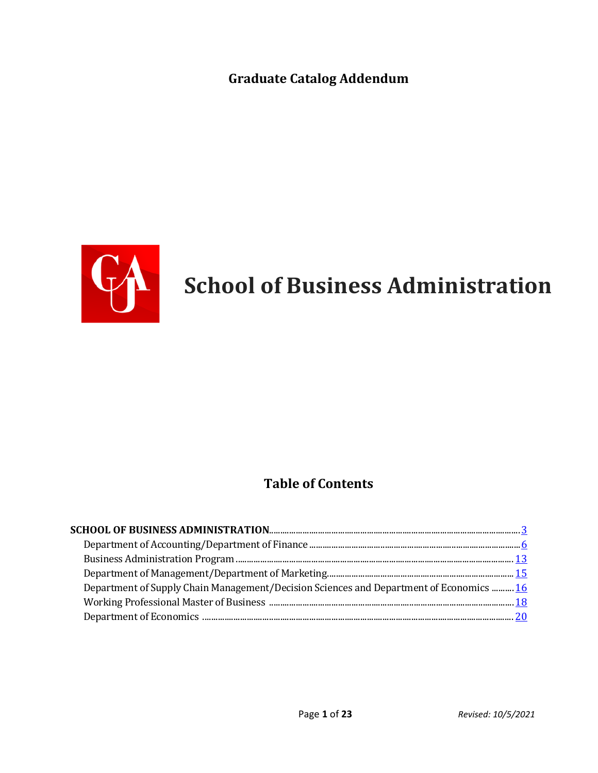**Graduate Catalog Addendum**



# **CA** School of Business Administration

# **Table of Contents**

| Department of Supply Chain Management/Decision Sciences and Department of Economics  16 |  |
|-----------------------------------------------------------------------------------------|--|
|                                                                                         |  |
|                                                                                         |  |
|                                                                                         |  |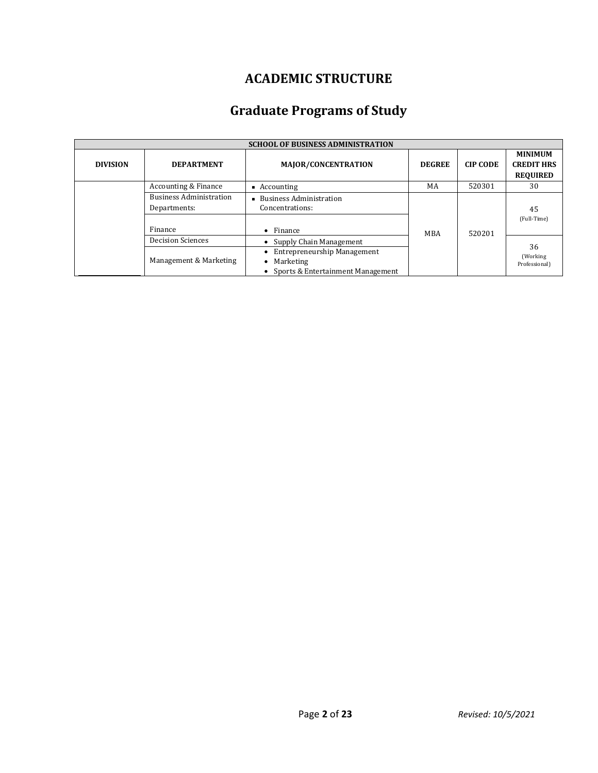# **ACADEMIC STRUCTURE**

# **Graduate Programs of Study**

|                 | <b>SCHOOL OF BUSINESS ADMINISTRATION</b>                  |                                                                                                             |               |                 |                                                        |  |  |
|-----------------|-----------------------------------------------------------|-------------------------------------------------------------------------------------------------------------|---------------|-----------------|--------------------------------------------------------|--|--|
| <b>DIVISION</b> | <b>DEPARTMENT</b>                                         | MAJOR/CONCENTRATION                                                                                         | <b>DEGREE</b> | <b>CIP CODE</b> | <b>MINIMUM</b><br><b>CREDIT HRS</b><br><b>REQUIRED</b> |  |  |
|                 | Accounting & Finance                                      | $\blacksquare$ Accounting                                                                                   | MA            | 520301          | 30                                                     |  |  |
|                 | <b>Business Administration</b><br>Departments:<br>Finance | ■ Business Administration<br>Concentrations:<br>Finance<br>$\bullet$                                        | <b>MBA</b>    | 520201          | 45<br>(Full-Time)                                      |  |  |
|                 | <b>Decision Sciences</b>                                  | • Supply Chain Management                                                                                   |               |                 |                                                        |  |  |
|                 | Management & Marketing                                    | <b>Entrepreneurship Management</b><br>٠<br>Marketing<br>$\bullet$<br>Sports & Entertainment Management<br>٠ |               |                 | 36<br>(Working)<br>Professional)                       |  |  |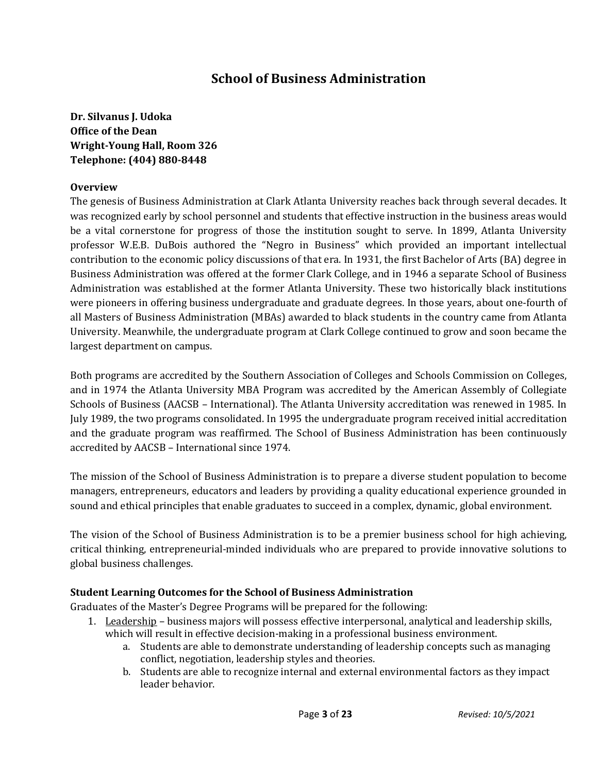# **School of Business Administration**

**Dr. Silvanus J. Udoka Office of the Dean Wright-Young Hall, Room 326 Telephone: (404) 880-8448**

#### **Overview**

The genesis of Business Administration at Clark Atlanta University reaches back through several decades. It was recognized early by school personnel and students that effective instruction in the business areas would be a vital cornerstone for progress of those the institution sought to serve. In 1899, Atlanta University professor W.E.B. DuBois authored the "Negro in Business" which provided an important intellectual contribution to the economic policy discussions of that era. In 1931, the first Bachelor of Arts (BA) degree in Business Administration was offered at the former Clark College, and in 1946 a separate School of Business Administration was established at the former Atlanta University. These two historically black institutions were pioneers in offering business undergraduate and graduate degrees. In those years, about one-fourth of all Masters of Business Administration (MBAs) awarded to black students in the country came from Atlanta University. Meanwhile, the undergraduate program at Clark College continued to grow and soon became the largest department on campus.

Both programs are accredited by the Southern Association of Colleges and Schools Commission on Colleges, and in 1974 the Atlanta University MBA Program was accredited by the American Assembly of Collegiate Schools of Business (AACSB – International). The Atlanta University accreditation was renewed in 1985. In July 1989, the two programs consolidated. In 1995 the undergraduate program received initial accreditation and the graduate program was reaffirmed. The School of Business Administration has been continuously accredited by AACSB – International since 1974.

The mission of the School of Business Administration is to prepare a diverse student population to become managers, entrepreneurs, educators and leaders by providing a quality educational experience grounded in sound and ethical principles that enable graduates to succeed in a complex, dynamic, global environment.

The vision of the School of Business Administration is to be a premier business school for high achieving, critical thinking, entrepreneurial-minded individuals who are prepared to provide innovative solutions to global business challenges.

# **Student Learning Outcomes for the School of Business Administration**

Graduates of the Master's Degree Programs will be prepared for the following:

- 1. Leadership business majors will possess effective interpersonal, analytical and leadership skills, which will result in effective decision-making in a professional business environment.
	- a. Students are able to demonstrate understanding of leadership concepts such as managing conflict, negotiation, leadership styles and theories.
	- b. Students are able to recognize internal and external environmental factors as they impact leader behavior.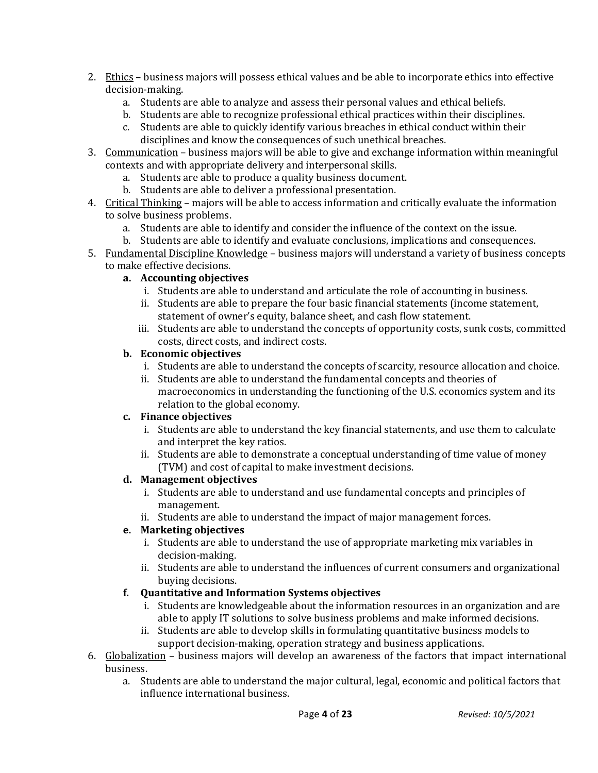- 2. Ethics business majors will possess ethical values and be able to incorporate ethics into effective decision-making.
	- a. Students are able to analyze and assess their personal values and ethical beliefs.
	- b. Students are able to recognize professional ethical practices within their disciplines.
	- c. Students are able to quickly identify various breaches in ethical conduct within their disciplines and know the consequences of such unethical breaches.
- 3. Communication business majors will be able to give and exchange information within meaningful contexts and with appropriate delivery and interpersonal skills.
	- a. Students are able to produce a quality business document.
	- b. Students are able to deliver a professional presentation.
- 4. Critical Thinking majors will be able to access information and critically evaluate the information to solve business problems.
	- a. Students are able to identify and consider the influence of the context on the issue.
	- b. Students are able to identify and evaluate conclusions, implications and consequences.
- 5. Fundamental Discipline Knowledge business majors will understand a variety of business concepts to make effective decisions.

# **a. Accounting objectives**

- i. Students are able to understand and articulate the role of accounting in business.
- ii. Students are able to prepare the four basic financial statements (income statement, statement of owner's equity, balance sheet, and cash flow statement.
- iii. Students are able to understand the concepts of opportunity costs, sunk costs, committed costs, direct costs, and indirect costs.

# **b. Economic objectives**

- i. Students are able to understand the concepts of scarcity, resource allocation and choice.
- ii. Students are able to understand the fundamental concepts and theories of macroeconomics in understanding the functioning of the U.S. economics system and its relation to the global economy.

# **c. Finance objectives**

- i. Students are able to understand the key financial statements, and use them to calculate and interpret the key ratios.
- ii. Students are able to demonstrate a conceptual understanding of time value of money (TVM) and cost of capital to make investment decisions.

# **d. Management objectives**

- i. Students are able to understand and use fundamental concepts and principles of management.
- ii. Students are able to understand the impact of major management forces.

# **e. Marketing objectives**

- i. Students are able to understand the use of appropriate marketing mix variables in decision-making.
- ii. Students are able to understand the influences of current consumers and organizational buying decisions.

# **f. Quantitative and Information Systems objectives**

- i. Students are knowledgeable about the information resources in an organization and are able to apply IT solutions to solve business problems and make informed decisions.
- ii. Students are able to develop skills in formulating quantitative business models to support decision-making, operation strategy and business applications.
- 6. Globalization business majors will develop an awareness of the factors that impact international business.
	- a. Students are able to understand the major cultural, legal, economic and political factors that influence international business.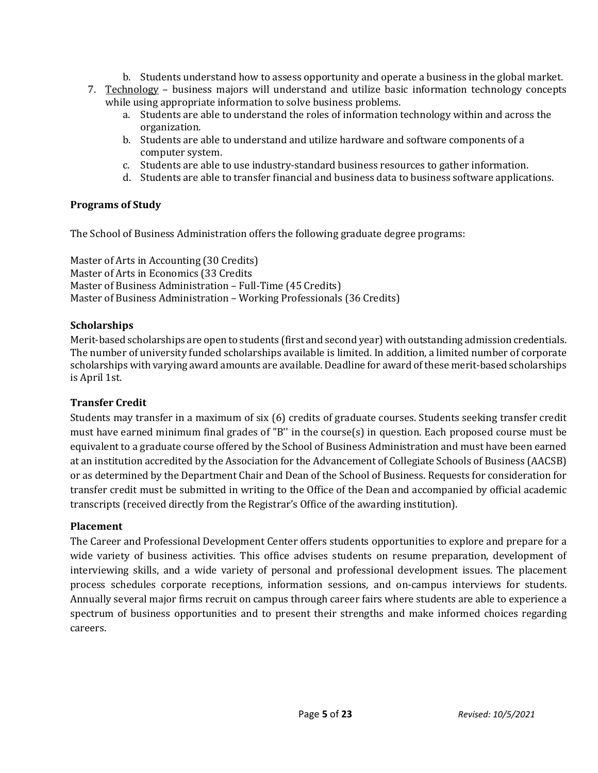- b. Students understand how to assess opportunity and operate a business in the global market. 7. Technology – business majors will understand and utilize basic information technology concepts while using appropriate information to solve business problems.
	- a. Students are able to understand the roles of information technology within and across the organization.
	- b. Students are able to understand and utilize hardware and software components of a computer system.
	- c. Students are able to use industry-standard business resources to gather information.
	- d. Students are able to transfer financial and business data to business software applications.

# **Programs of Study**

The School of Business Administration offers the following graduate degree programs:

Master of Arts in Accounting (30 Credits) Master of Arts in Economics (33 Credits Master of Business Administration – Full-Time (45 Credits) Master of Business Administration – Working Professionals (36 Credits)

# **Scholarships**

Merit-based scholarships are open to students (first and second year) with outstanding admission credentials. The number of university funded scholarships available is limited. In addition, a limited number of corporate scholarships with varying award amounts are available. Deadline for award of these merit-based scholarships is April 1st.

# **Transfer Credit**

Students may transfer in a maximum of six (6) credits of graduate courses. Students seeking transfer credit must have earned minimum final grades of "B'' in the course(s) in question. Each proposed course must be equivalent to a graduate course offered by the School of Business Administration and must have been earned at an institution accredited by the Association for the Advancement of Collegiate Schools of Business (AACSB) or as determined by the Department Chair and Dean of the School of Business. Requests for consideration for transfer credit must be submitted in writing to the Office of the Dean and accompanied by official academic transcripts (received directly from the Registrar's Office of the awarding institution).

# **Placement**

The Career and Professional Development Center offers students opportunities to explore and prepare for a wide variety of business activities. This office advises students on resume preparation, development of interviewing skills, and a wide variety of personal and professional development issues. The placement process schedules corporate receptions, information sessions, and on-campus interviews for students. Annually several major firms recruit on campus through career fairs where students are able to experience a spectrum of business opportunities and to present their strengths and make informed choices regarding careers.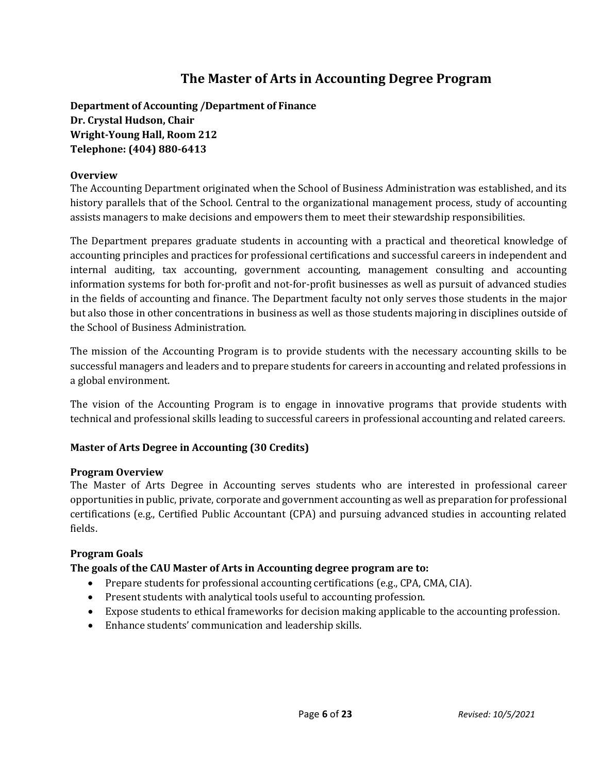# **The Master of Arts in Accounting Degree Program**

**Department of Accounting /Department of Finance Dr. Crystal Hudson, Chair Wright-Young Hall, Room 212 Telephone: (404) 880-6413**

# **Overview**

The Accounting Department originated when the School of Business Administration was established, and its history parallels that of the School. Central to the organizational management process, study of accounting assists managers to make decisions and empowers them to meet their stewardship responsibilities.

The Department prepares graduate students in accounting with a practical and theoretical knowledge of accounting principles and practices for professional certifications and successful careers in independent and internal auditing, tax accounting, government accounting, management consulting and accounting information systems for both for-profit and not-for-profit businesses as well as pursuit of advanced studies in the fields of accounting and finance. The Department faculty not only serves those students in the major but also those in other concentrations in business as well as those students majoring in disciplines outside of the School of Business Administration.

The mission of the Accounting Program is to provide students with the necessary accounting skills to be successful managers and leaders and to prepare students for careers in accounting and related professions in a global environment.

The vision of the Accounting Program is to engage in innovative programs that provide students with technical and professional skills leading to successful careers in professional accounting and related careers.

# **Master of Arts Degree in Accounting (30 Credits)**

# **Program Overview**

The Master of Arts Degree in Accounting serves students who are interested in professional career opportunities in public, private, corporate and government accounting as well as preparation for professional certifications (e.g., Certified Public Accountant (CPA) and pursuing advanced studies in accounting related fields.

# **Program Goals**

# **The goals of the CAU Master of Arts in Accounting degree program are to:**

- Prepare students for professional accounting certifications (e.g., CPA, CMA, CIA).
- Present students with analytical tools useful to accounting profession.
- Expose students to ethical frameworks for decision making applicable to the accounting profession.
- Enhance students' communication and leadership skills.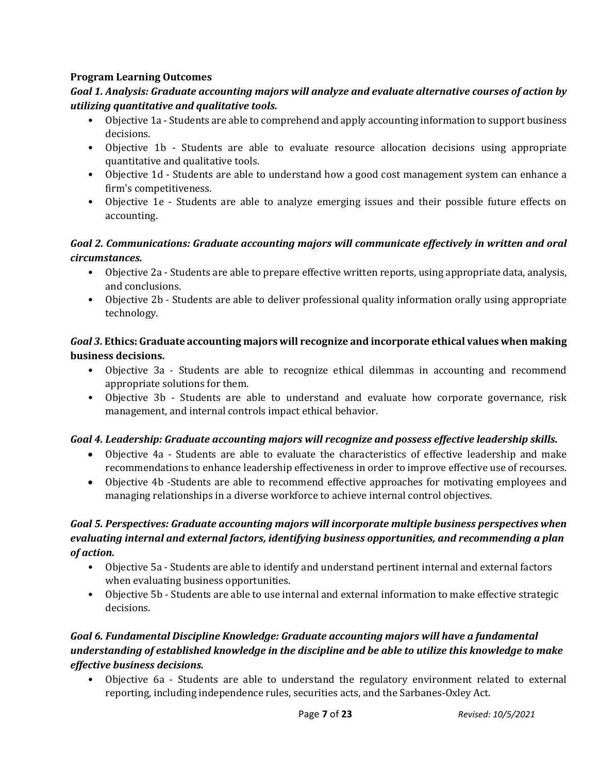# **Program Learning Outcomes**

# *Goal 1. Analysis: Graduate accounting majors will analyze and evaluate alternative courses of action by utilizing quantitative and qualitative tools.*

- Objective 1a Students are able to comprehend and apply accounting information to support business decisions.
- Objective 1b Students are able to evaluate resource allocation decisions using appropriate quantitative and qualitative tools.
- Objective 1d Students are able to understand how a good cost management system can enhance a firm's competitiveness.
- Objective 1e Students are able to analyze emerging issues and their possible future effects on accounting.

# *Goal 2. Communications: Graduate accounting majors will communicate effectively in written and oral circumstances.*

- Objective 2a Students are able to prepare effective written reports, using appropriate data, analysis, and conclusions.
- Objective 2b Students are able to deliver professional quality information orally using appropriate technology.

# *Goal 3.* **Ethics: Graduate accounting majors will recognize and incorporate ethical values when making business decisions.**

- Objective 3a Students are able to recognize ethical dilemmas in accounting and recommend appropriate solutions for them.
- Objective 3b Students are able to understand and evaluate how corporate governance, risk management, and internal controls impact ethical behavior.

# *Goal 4. Leadership: Graduate accounting majors will recognize and possess effective leadership skills.*

- Objective 4a Students are able to evaluate the characteristics of effective leadership and make recommendations to enhance leadership effectiveness in order to improve effective use of recourses.
- Objective 4b -Students are able to recommend effective approaches for motivating employees and managing relationships in a diverse workforce to achieve internal control objectives.

# *Goal 5. Perspectives: Graduate accounting majors will incorporate multiple business perspectives when evaluating internal and external factors, identifying business opportunities, and recommending a plan of action.*

- Objective 5a Students are able to identify and understand pertinent internal and external factors when evaluating business opportunities.
- Objective 5b Students are able to use internal and external information to make effective strategic decisions.

# *Goal 6. Fundamental Discipline Knowledge: Graduate accounting majors will have a fundamental understanding of established knowledge in the discipline and be able to utilize this knowledge to make effective business decisions.*

• Objective 6a - Students are able to understand the regulatory environment related to external reporting, including independence rules, securities acts, and the Sarbanes-Oxley Act.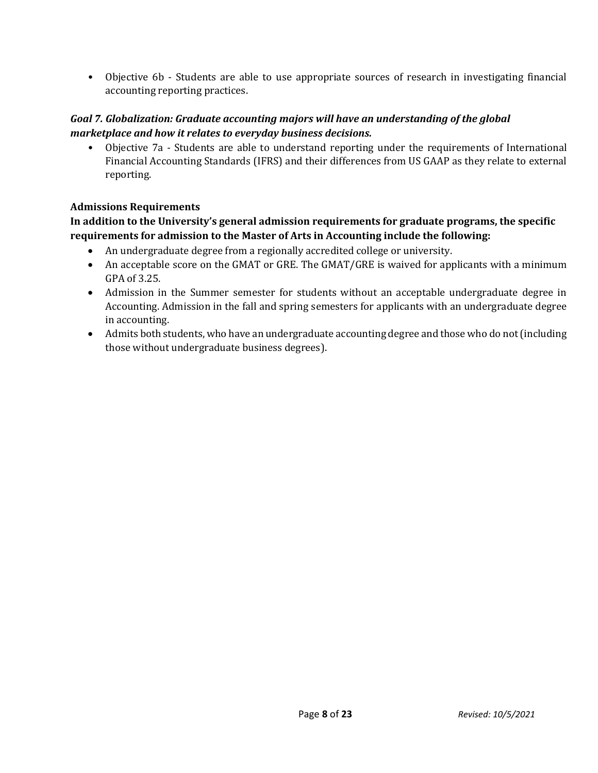• Objective 6b - Students are able to use appropriate sources of research in investigating financial accounting reporting practices.

# *Goal 7. Globalization: Graduate accounting majors will have an understanding of the global marketplace and how it relates to everyday business decisions.*

• Objective 7a - Students are able to understand reporting under the requirements of International Financial Accounting Standards (IFRS) and their differences from US GAAP as they relate to external reporting.

# **Admissions Requirements**

# **In addition to the University's general admission requirements for graduate programs, the specific requirements for admission to the Master of Arts in Accounting include the following:**

- An undergraduate degree from a regionally accredited college or university.
- An acceptable score on the GMAT or GRE. The GMAT/GRE is waived for applicants with a minimum GPA of 3.25.
- Admission in the Summer semester for students without an acceptable undergraduate degree in Accounting. Admission in the fall and spring semesters for applicants with an undergraduate degree in accounting.
- Admits both students, who have an undergraduate accounting degree and those who do not (including those without undergraduate business degrees).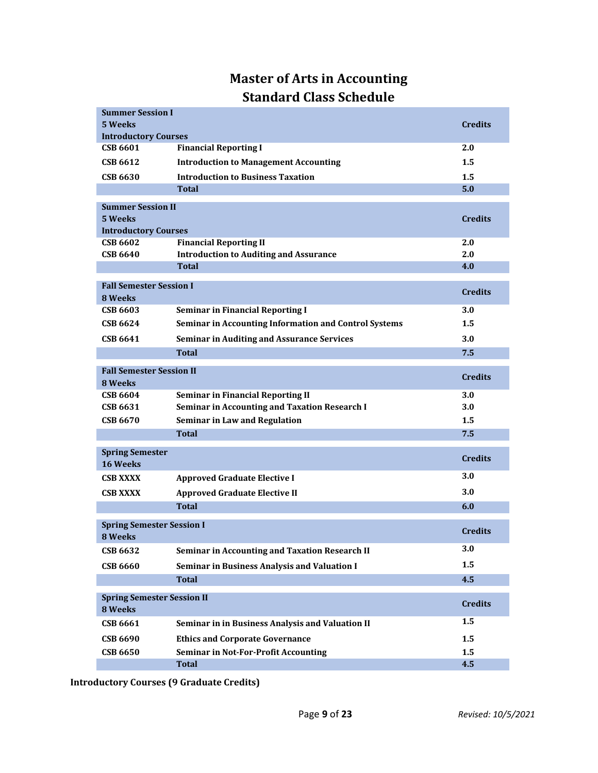# **Master of Arts in Accounting Standard Class Schedule**

| <b>Summer Session I</b>                     |                                                       |                |
|---------------------------------------------|-------------------------------------------------------|----------------|
| 5 Weeks                                     |                                                       | <b>Credits</b> |
| <b>Introductory Courses</b>                 |                                                       |                |
| <b>CSB 6601</b>                             | <b>Financial Reporting I</b>                          | 2.0            |
| CSB 6612                                    | <b>Introduction to Management Accounting</b>          | 1.5            |
| <b>CSB 6630</b>                             | <b>Introduction to Business Taxation</b>              | 1.5            |
|                                             | <b>Total</b>                                          | 5.0            |
| <b>Summer Session II</b>                    |                                                       |                |
| 5 Weeks                                     |                                                       | <b>Credits</b> |
| <b>Introductory Courses</b>                 |                                                       |                |
| <b>CSB 6602</b>                             | <b>Financial Reporting II</b>                         | 2.0            |
| <b>CSB 6640</b>                             | <b>Introduction to Auditing and Assurance</b>         | 2.0            |
|                                             | <b>Total</b>                                          | 4.0            |
| <b>Fall Semester Session I</b>              |                                                       |                |
| 8 Weeks                                     |                                                       | <b>Credits</b> |
| <b>CSB 6603</b>                             | <b>Seminar in Financial Reporting I</b>               | 3.0            |
| CSB 6624                                    | Seminar in Accounting Information and Control Systems | 1.5            |
| <b>CSB 6641</b>                             | <b>Seminar in Auditing and Assurance Services</b>     | 3.0            |
|                                             |                                                       | 7.5            |
|                                             | Total                                                 |                |
| <b>Fall Semester Session II</b>             |                                                       | <b>Credits</b> |
| 8 Weeks                                     |                                                       |                |
| <b>CSB 6604</b>                             | <b>Seminar in Financial Reporting II</b>              | 3.0            |
| CSB 6631                                    | <b>Seminar in Accounting and Taxation Research I</b>  | 3.0            |
| <b>CSB 6670</b>                             | Seminar in Law and Regulation                         | 1.5            |
|                                             | <b>Total</b>                                          | 7.5            |
| <b>Spring Semester</b>                      |                                                       |                |
| <b>16 Weeks</b>                             |                                                       | <b>Credits</b> |
| <b>CSB XXXX</b>                             | <b>Approved Graduate Elective I</b>                   | 3.0            |
| <b>CSB XXXX</b>                             | <b>Approved Graduate Elective II</b>                  | 3.0            |
|                                             | <b>Total</b>                                          | 6.0            |
|                                             |                                                       |                |
| <b>Spring Semester Session I</b><br>8 Weeks |                                                       | <b>Credits</b> |
| <b>CSB 6632</b>                             | Seminar in Accounting and Taxation Research II        | 3.0            |
| <b>CSB 6660</b>                             | <b>Seminar in Business Analysis and Valuation I</b>   | 1.5            |
|                                             | <b>Total</b>                                          | 4.5            |
| <b>Spring Semester Session II</b>           |                                                       |                |
| 8 Weeks                                     |                                                       | <b>Credits</b> |
| <b>CSB 6661</b>                             | Seminar in in Business Analysis and Valuation II      | 1.5            |
| <b>CSB 6690</b>                             | <b>Ethics and Corporate Governance</b>                | 1.5            |
| <b>CSB 6650</b>                             | <b>Seminar in Not-For-Profit Accounting</b>           | 1.5            |
|                                             | <b>Total</b>                                          | 4.5            |

**Introductory Courses (9 Graduate Credits)**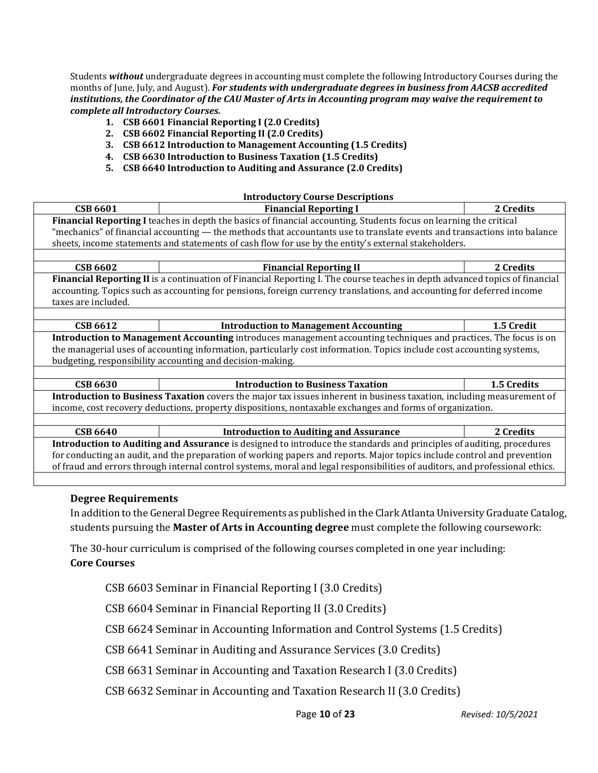Students *without* undergraduate degrees in accounting must complete the following Introductory Courses during the months of June, July, and August). *For students with undergraduate degrees in business from AACSB accredited institutions, the Coordinator of the CAU Master of Arts in Accounting program may waive the requirement to complete all Introductory Courses.*

- **1. CSB 6601 Financial Reporting I (2.0 Credits)**
- **2. CSB 6602 Financial Reporting II (2.0 Credits)**
- **3. CSB 6612 Introduction to Management Accounting (1.5 Credits)**
- **4. CSB 6630 Introduction to Business Taxation (1.5 Credits)**
- **5. CSB 6640 Introduction to Auditing and Assurance (2.0 Credits)**

#### **Introductory Course Descriptions**

| Financial Reporting I teaches in depth the basics of financial accounting. Students focus on learning the critical<br>"mechanics" of financial accounting — the methods that accountants use to translate events and transactions into balance<br>sheets, income statements and statements of cash flow for use by the entity's external stakeholders. | 2 Credits                                                                                                |  |  |  |  |
|--------------------------------------------------------------------------------------------------------------------------------------------------------------------------------------------------------------------------------------------------------------------------------------------------------------------------------------------------------|----------------------------------------------------------------------------------------------------------|--|--|--|--|
|                                                                                                                                                                                                                                                                                                                                                        |                                                                                                          |  |  |  |  |
|                                                                                                                                                                                                                                                                                                                                                        |                                                                                                          |  |  |  |  |
|                                                                                                                                                                                                                                                                                                                                                        |                                                                                                          |  |  |  |  |
|                                                                                                                                                                                                                                                                                                                                                        |                                                                                                          |  |  |  |  |
| <b>CSB 6602</b><br><b>Financial Reporting II</b>                                                                                                                                                                                                                                                                                                       |                                                                                                          |  |  |  |  |
| Financial Reporting II is a continuation of Financial Reporting I. The course teaches in depth advanced topics of financial                                                                                                                                                                                                                            |                                                                                                          |  |  |  |  |
| accounting. Topics such as accounting for pensions, foreign currency translations, and accounting for deferred income                                                                                                                                                                                                                                  |                                                                                                          |  |  |  |  |
| taxes are included.                                                                                                                                                                                                                                                                                                                                    |                                                                                                          |  |  |  |  |
|                                                                                                                                                                                                                                                                                                                                                        |                                                                                                          |  |  |  |  |
| <b>CSB 6612</b><br><b>Introduction to Management Accounting</b>                                                                                                                                                                                                                                                                                        | 1.5 Credit                                                                                               |  |  |  |  |
| Introduction to Management Accounting introduces management accounting techniques and practices. The focus is on                                                                                                                                                                                                                                       |                                                                                                          |  |  |  |  |
| the managerial uses of accounting information, particularly cost information. Topics include cost accounting systems,                                                                                                                                                                                                                                  |                                                                                                          |  |  |  |  |
| budgeting, responsibility accounting and decision-making.                                                                                                                                                                                                                                                                                              |                                                                                                          |  |  |  |  |
|                                                                                                                                                                                                                                                                                                                                                        |                                                                                                          |  |  |  |  |
| <b>Introduction to Business Taxation</b><br><b>CSB 6630</b>                                                                                                                                                                                                                                                                                            | 1.5 Credits                                                                                              |  |  |  |  |
| Introduction to Business Taxation covers the major tax issues inherent in business taxation, including measurement of                                                                                                                                                                                                                                  |                                                                                                          |  |  |  |  |
|                                                                                                                                                                                                                                                                                                                                                        | income, cost recovery deductions, property dispositions, nontaxable exchanges and forms of organization. |  |  |  |  |
|                                                                                                                                                                                                                                                                                                                                                        |                                                                                                          |  |  |  |  |
| <b>Introduction to Auditing and Assurance</b><br><b>CSB 6640</b>                                                                                                                                                                                                                                                                                       | 2 Credits                                                                                                |  |  |  |  |
| Introduction to Auditing and Assurance is designed to introduce the standards and principles of auditing, procedures                                                                                                                                                                                                                                   |                                                                                                          |  |  |  |  |
| for conducting an audit, and the preparation of working papers and reports. Major topics include control and prevention                                                                                                                                                                                                                                |                                                                                                          |  |  |  |  |
| of fraud and errors through internal control systems, moral and legal responsibilities of auditors, and professional ethics.                                                                                                                                                                                                                           |                                                                                                          |  |  |  |  |

#### **Degree Requirements**

In addition to the General Degree Requirements as published in the Clark Atlanta University Graduate Catalog, students pursuing the **Master of Arts in Accounting degree** must complete the following coursework:

The 30-hour curriculum is comprised of the following courses completed in one year including: **Core Courses**

CSB 6603 Seminar in Financial Reporting I (3.0 Credits)

CSB 6604 Seminar in Financial Reporting II (3.0 Credits)

CSB 6624 Seminar in Accounting Information and Control Systems (1.5 Credits)

CSB 6641 Seminar in Auditing and Assurance Services (3.0 Credits)

CSB 6631 Seminar in Accounting and Taxation Research I (3.0 Credits)

CSB 6632 Seminar in Accounting and Taxation Research II (3.0 Credits)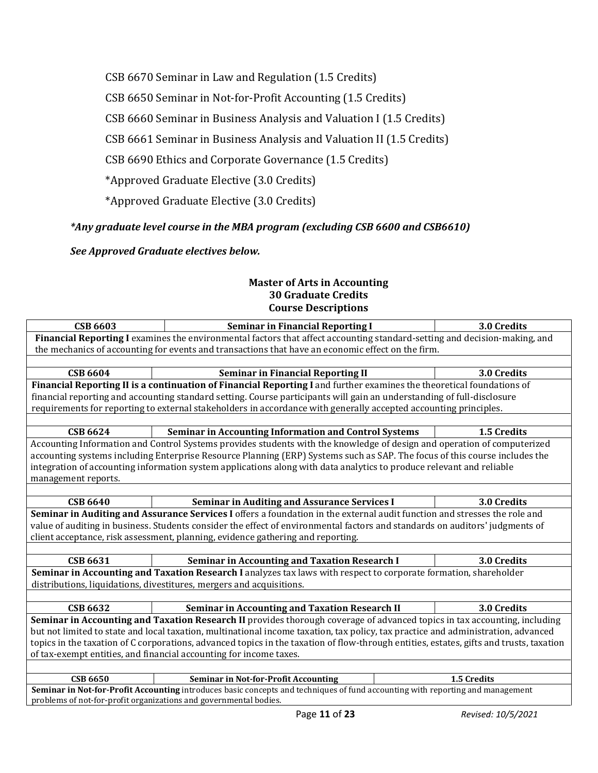CSB 6670 Seminar in Law and Regulation (1.5 Credits)

CSB 6650 Seminar in Not-for-Profit Accounting (1.5 Credits)

CSB 6660 Seminar in Business Analysis and Valuation I (1.5 Credits)

CSB 6661 Seminar in Business Analysis and Valuation II (1.5 Credits)

CSB 6690 Ethics and Corporate Governance (1.5 Credits)

\*Approved Graduate Elective (3.0 Credits)

\*Approved Graduate Elective (3.0 Credits)

# *\*Any graduate level course in the MBA program (excluding CSB 6600 and CSB6610)*

*See Approved Graduate electives below.*

#### **Master of Arts in Accounting 30 Graduate Credits Course Descriptions**

| <b>CSB 6603</b>                                                                                                                         | <b>Seminar in Financial Reporting I</b>                                                                                      |  | 3.0 Credits |  |  |  |
|-----------------------------------------------------------------------------------------------------------------------------------------|------------------------------------------------------------------------------------------------------------------------------|--|-------------|--|--|--|
| Financial Reporting I examines the environmental factors that affect accounting standard-setting and decision-making, and               |                                                                                                                              |  |             |  |  |  |
| the mechanics of accounting for events and transactions that have an economic effect on the firm.                                       |                                                                                                                              |  |             |  |  |  |
|                                                                                                                                         |                                                                                                                              |  |             |  |  |  |
| <b>CSB 6604</b>                                                                                                                         | <b>Seminar in Financial Reporting II</b>                                                                                     |  | 3.0 Credits |  |  |  |
|                                                                                                                                         | Financial Reporting II is a continuation of Financial Reporting I and further examines the theoretical foundations of        |  |             |  |  |  |
|                                                                                                                                         | financial reporting and accounting standard setting. Course participants will gain an understanding of full-disclosure       |  |             |  |  |  |
|                                                                                                                                         | requirements for reporting to external stakeholders in accordance with generally accepted accounting principles.             |  |             |  |  |  |
|                                                                                                                                         |                                                                                                                              |  |             |  |  |  |
| <b>CSB 6624</b>                                                                                                                         | <b>Seminar in Accounting Information and Control Systems</b>                                                                 |  | 1.5 Credits |  |  |  |
|                                                                                                                                         | Accounting Information and Control Systems provides students with the knowledge of design and operation of computerized      |  |             |  |  |  |
|                                                                                                                                         | accounting systems including Enterprise Resource Planning (ERP) Systems such as SAP. The focus of this course includes the   |  |             |  |  |  |
|                                                                                                                                         | integration of accounting information system applications along with data analytics to produce relevant and reliable         |  |             |  |  |  |
| management reports.                                                                                                                     |                                                                                                                              |  |             |  |  |  |
|                                                                                                                                         |                                                                                                                              |  |             |  |  |  |
| <b>CSB 6640</b>                                                                                                                         | <b>Seminar in Auditing and Assurance Services I</b>                                                                          |  | 3.0 Credits |  |  |  |
|                                                                                                                                         | Seminar in Auditing and Assurance Services I offers a foundation in the external audit function and stresses the role and    |  |             |  |  |  |
|                                                                                                                                         | value of auditing in business. Students consider the effect of environmental factors and standards on auditors' judgments of |  |             |  |  |  |
|                                                                                                                                         | client acceptance, risk assessment, planning, evidence gathering and reporting.                                              |  |             |  |  |  |
|                                                                                                                                         |                                                                                                                              |  |             |  |  |  |
| <b>CSB 6631</b>                                                                                                                         | <b>Seminar in Accounting and Taxation Research I</b>                                                                         |  | 3.0 Credits |  |  |  |
|                                                                                                                                         | Seminar in Accounting and Taxation Research I analyzes tax laws with respect to corporate formation, shareholder             |  |             |  |  |  |
|                                                                                                                                         | distributions, liquidations, divestitures, mergers and acquisitions.                                                         |  |             |  |  |  |
|                                                                                                                                         |                                                                                                                              |  |             |  |  |  |
| <b>CSB 6632</b>                                                                                                                         | <b>Seminar in Accounting and Taxation Research II</b>                                                                        |  | 3.0 Credits |  |  |  |
|                                                                                                                                         | Seminar in Accounting and Taxation Research II provides thorough coverage of advanced topics in tax accounting, including    |  |             |  |  |  |
| but not limited to state and local taxation, multinational income taxation, tax policy, tax practice and administration, advanced       |                                                                                                                              |  |             |  |  |  |
| topics in the taxation of C corporations, advanced topics in the taxation of flow-through entities, estates, gifts and trusts, taxation |                                                                                                                              |  |             |  |  |  |
| of tax-exempt entities, and financial accounting for income taxes.                                                                      |                                                                                                                              |  |             |  |  |  |
|                                                                                                                                         |                                                                                                                              |  |             |  |  |  |
| <b>CSB 6650</b>                                                                                                                         | <b>Seminar in Not-for-Profit Accounting</b>                                                                                  |  | 1.5 Credits |  |  |  |
| Seminar in Not-for-Profit Accounting introduces basic concepts and techniques of fund accounting with reporting and management          |                                                                                                                              |  |             |  |  |  |
|                                                                                                                                         | problems of not-for-profit organizations and governmental bodies.                                                            |  |             |  |  |  |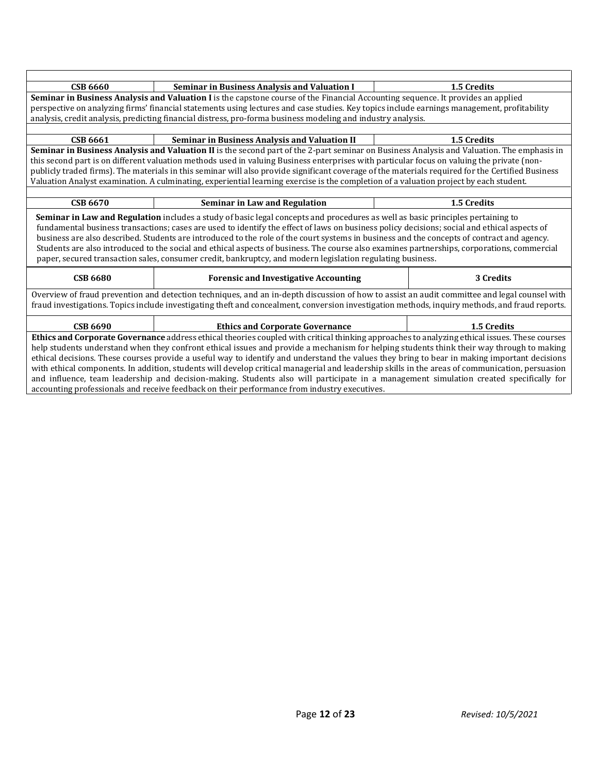| <b>CSB 6660</b>                                                                                                                                 | <b>Seminar in Business Analysis and Valuation I</b>                                                                                                                                                                                                                                                                                                                                                                                                                                                                                                     |  | 1.5 Credits |  |
|-------------------------------------------------------------------------------------------------------------------------------------------------|---------------------------------------------------------------------------------------------------------------------------------------------------------------------------------------------------------------------------------------------------------------------------------------------------------------------------------------------------------------------------------------------------------------------------------------------------------------------------------------------------------------------------------------------------------|--|-------------|--|
|                                                                                                                                                 | Seminar in Business Analysis and Valuation I is the capstone course of the Financial Accounting sequence. It provides an applied                                                                                                                                                                                                                                                                                                                                                                                                                        |  |             |  |
|                                                                                                                                                 | perspective on analyzing firms' financial statements using lectures and case studies. Key topics include earnings management, profitability                                                                                                                                                                                                                                                                                                                                                                                                             |  |             |  |
|                                                                                                                                                 | analysis, credit analysis, predicting financial distress, pro-forma business modeling and industry analysis.                                                                                                                                                                                                                                                                                                                                                                                                                                            |  |             |  |
|                                                                                                                                                 |                                                                                                                                                                                                                                                                                                                                                                                                                                                                                                                                                         |  |             |  |
| <b>CSB 6661</b>                                                                                                                                 | <b>Seminar in Business Analysis and Valuation II</b>                                                                                                                                                                                                                                                                                                                                                                                                                                                                                                    |  | 1.5 Credits |  |
|                                                                                                                                                 | Seminar in Business Analysis and Valuation II is the second part of the 2-part seminar on Business Analysis and Valuation. The emphasis in                                                                                                                                                                                                                                                                                                                                                                                                              |  |             |  |
|                                                                                                                                                 | this second part is on different valuation methods used in valuing Business enterprises with particular focus on valuing the private (non-                                                                                                                                                                                                                                                                                                                                                                                                              |  |             |  |
|                                                                                                                                                 | publicly traded firms). The materials in this seminar will also provide significant coverage of the materials required for the Certified Business                                                                                                                                                                                                                                                                                                                                                                                                       |  |             |  |
|                                                                                                                                                 | Valuation Analyst examination. A culminating, experiential learning exercise is the completion of a valuation project by each student.                                                                                                                                                                                                                                                                                                                                                                                                                  |  |             |  |
|                                                                                                                                                 |                                                                                                                                                                                                                                                                                                                                                                                                                                                                                                                                                         |  |             |  |
| <b>CSB 6670</b>                                                                                                                                 | <b>Seminar in Law and Regulation</b>                                                                                                                                                                                                                                                                                                                                                                                                                                                                                                                    |  | 1.5 Credits |  |
|                                                                                                                                                 | fundamental business transactions; cases are used to identify the effect of laws on business policy decisions; social and ethical aspects of<br>business are also described. Students are introduced to the role of the court systems in business and the concepts of contract and agency.<br>Students are also introduced to the social and ethical aspects of business. The course also examines partnerships, corporations, commercial<br>paper, secured transaction sales, consumer credit, bankruptcy, and modern legislation regulating business. |  |             |  |
| <b>CSB 6680</b>                                                                                                                                 | <b>Forensic and Investigative Accounting</b>                                                                                                                                                                                                                                                                                                                                                                                                                                                                                                            |  | 3 Credits   |  |
|                                                                                                                                                 | Overview of fraud prevention and detection techniques, and an in-depth discussion of how to assist an audit committee and legal counsel with                                                                                                                                                                                                                                                                                                                                                                                                            |  |             |  |
|                                                                                                                                                 | fraud investigations. Topics include investigating theft and concealment, conversion investigation methods, inquiry methods, and fraud reports.                                                                                                                                                                                                                                                                                                                                                                                                         |  |             |  |
| <b>CSB 6690</b>                                                                                                                                 | <b>Ethics and Corporate Governance</b>                                                                                                                                                                                                                                                                                                                                                                                                                                                                                                                  |  | 1.5 Credits |  |
| Ethics and Corporate Governance address ethical theories coupled with critical thinking approaches to analyzing ethical issues. These courses   |                                                                                                                                                                                                                                                                                                                                                                                                                                                                                                                                                         |  |             |  |
| help students understand when they confront ethical issues and provide a mechanism for helping students think their way through to making       |                                                                                                                                                                                                                                                                                                                                                                                                                                                                                                                                                         |  |             |  |
| ethical decisions. These courses provide a useful way to identify and understand the values they bring to bear in making important decisions    |                                                                                                                                                                                                                                                                                                                                                                                                                                                                                                                                                         |  |             |  |
| with ethical components. In addition, students will develop critical managerial and leadership skills in the areas of communication, persuasion |                                                                                                                                                                                                                                                                                                                                                                                                                                                                                                                                                         |  |             |  |
| and influence, team leadership and decision-making. Students also will participate in a management simulation created specifically for          |                                                                                                                                                                                                                                                                                                                                                                                                                                                                                                                                                         |  |             |  |
| accounting professionals and receive feedback on their performance from industry executives.                                                    |                                                                                                                                                                                                                                                                                                                                                                                                                                                                                                                                                         |  |             |  |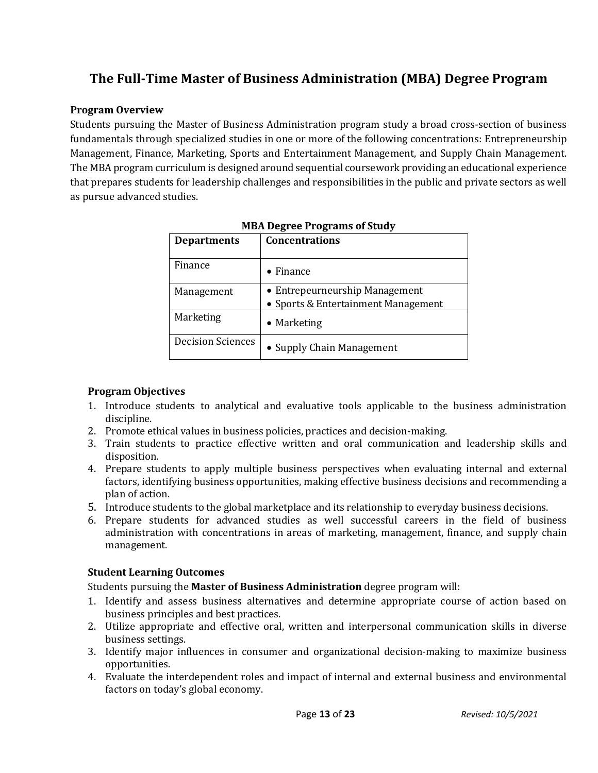# **The Full-Time Master of Business Administration (MBA) Degree Program**

# **Program Overview**

Students pursuing the Master of Business Administration program study a broad cross-section of business fundamentals through specialized studies in one or more of the following concentrations: Entrepreneurship Management, Finance, Marketing, Sports and Entertainment Management, and Supply Chain Management. The MBA program curriculum is designed around sequential coursework providing an educational experience that prepares students for leadership challenges and responsibilities in the public and private sectors as well as pursue advanced studies.

| <b>Departments</b>       | <b>Concentrations</b>                                                 |
|--------------------------|-----------------------------------------------------------------------|
| Finance                  | Finance<br>$\bullet$                                                  |
| Management               | • Entrepeurneurship Management<br>• Sports & Entertainment Management |
| Marketing                | $\bullet$ Marketing                                                   |
| <b>Decision Sciences</b> | • Supply Chain Management                                             |

# **Program Objectives**

- 1. Introduce students to analytical and evaluative tools applicable to the business administration discipline.
- 2. Promote ethical values in business policies, practices and decision-making.
- 3. Train students to practice effective written and oral communication and leadership skills and disposition.
- 4. Prepare students to apply multiple business perspectives when evaluating internal and external factors, identifying business opportunities, making effective business decisions and recommending a plan of action.
- 5. Introduce students to the global marketplace and its relationship to everyday business decisions.
- 6. Prepare students for advanced studies as well successful careers in the field of business administration with concentrations in areas of marketing, management, finance, and supply chain management.

# **Student Learning Outcomes**

Students pursuing the **Master of Business Administration** degree program will:

- 1. Identify and assess business alternatives and determine appropriate course of action based on business principles and best practices.
- 2. Utilize appropriate and effective oral, written and interpersonal communication skills in diverse business settings.
- 3. Identify major influences in consumer and organizational decision-making to maximize business opportunities.
- 4. Evaluate the interdependent roles and impact of internal and external business and environmental factors on today's global economy.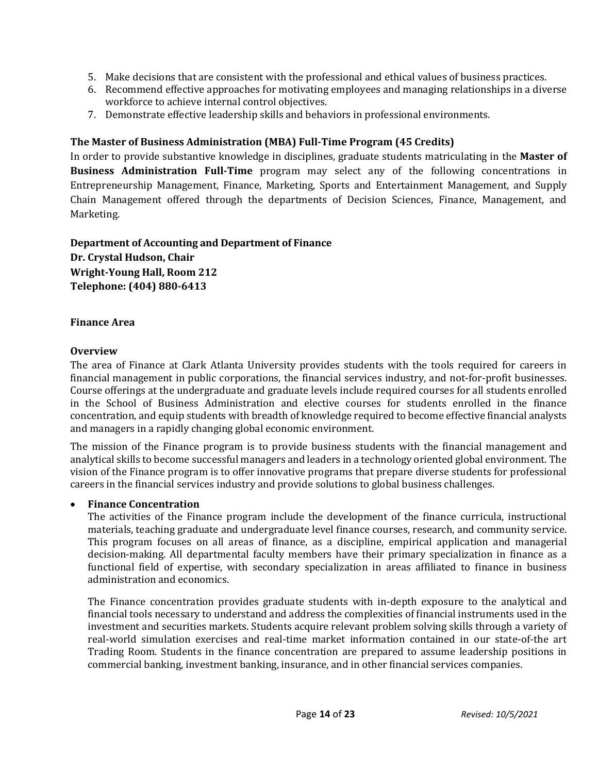- 5. Make decisions that are consistent with the professional and ethical values of business practices.
- 6. Recommend effective approaches for motivating employees and managing relationships in a diverse workforce to achieve internal control objectives.
- 7. Demonstrate effective leadership skills and behaviors in professional environments.

#### **The Master of Business Administration (MBA) Full-Time Program (45 Credits)**

In order to provide substantive knowledge in disciplines, graduate students matriculating in the **Master of Business Administration Full-Time** program may select any of the following concentrations in Entrepreneurship Management, Finance, Marketing, Sports and Entertainment Management, and Supply Chain Management offered through the departments of Decision Sciences, Finance, Management, and Marketing.

**Department of Accounting and Department of Finance Dr. Crystal Hudson, Chair Wright-Young Hall, Room 212 Telephone: (404) 880-6413**

#### **Finance Area**

#### **Overview**

The area of Finance at Clark Atlanta University provides students with the tools required for careers in financial management in public corporations, the financial services industry, and not-for-profit businesses. Course offerings at the undergraduate and graduate levels include required courses for all students enrolled in the School of Business Administration and elective courses for students enrolled in the finance concentration, and equip students with breadth of knowledge required to become effective financial analysts and managers in a rapidly changing global economic environment.

The mission of the Finance program is to provide business students with the financial management and analytical skills to become successful managers and leaders in a technology oriented global environment. The vision of the Finance program is to offer innovative programs that prepare diverse students for professional careers in the financial services industry and provide solutions to global business challenges.

#### • **Finance Concentration**

The activities of the Finance program include the development of the finance curricula, instructional materials, teaching graduate and undergraduate level finance courses, research, and community service. This program focuses on all areas of finance, as a discipline, empirical application and managerial decision-making. All departmental faculty members have their primary specialization in finance as a functional field of expertise, with secondary specialization in areas affiliated to finance in business administration and economics.

The Finance concentration provides graduate students with in-depth exposure to the analytical and financial tools necessary to understand and address the complexities of financial instruments used in the investment and securities markets. Students acquire relevant problem solving skills through a variety of real-world simulation exercises and real-time market information contained in our state-of-the art Trading Room. Students in the finance concentration are prepared to assume leadership positions in commercial banking, investment banking, insurance, and in other financial services companies.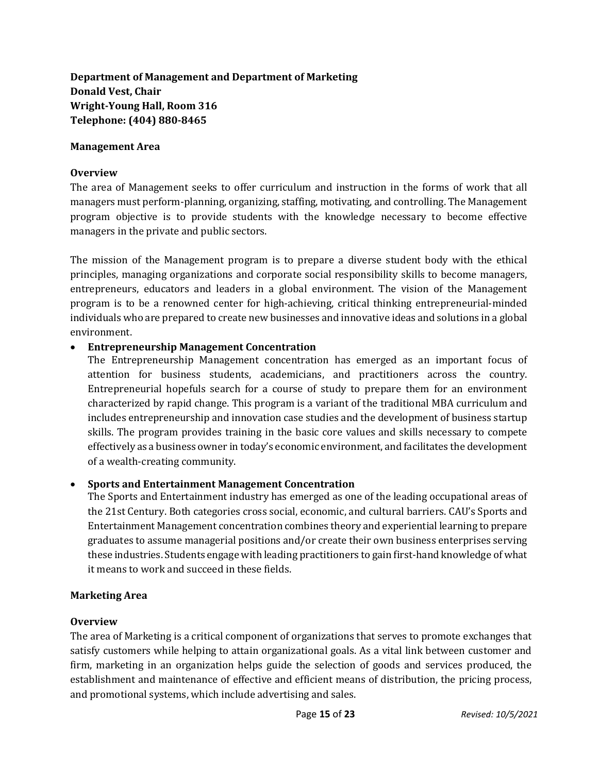# **Department of Management and Department of Marketing Donald Vest, Chair Wright-Young Hall, Room 316 Telephone: (404) 880-8465**

#### **Management Area**

#### **Overview**

The area of Management seeks to offer curriculum and instruction in the forms of work that all managers must perform-planning, organizing, staffing, motivating, and controlling. The Management program objective is to provide students with the knowledge necessary to become effective managers in the private and public sectors.

The mission of the Management program is to prepare a diverse student body with the ethical principles, managing organizations and corporate social responsibility skills to become managers, entrepreneurs, educators and leaders in a global environment. The vision of the Management program is to be a renowned center for high-achieving, critical thinking entrepreneurial-minded individuals who are prepared to create new businesses and innovative ideas and solutions in a global environment.

# • **Entrepreneurship Management Concentration**

The Entrepreneurship Management concentration has emerged as an important focus of attention for business students, academicians, and practitioners across the country. Entrepreneurial hopefuls search for a course of study to prepare them for an environment characterized by rapid change. This program is a variant of the traditional MBA curriculum and includes entrepreneurship and innovation case studies and the development of business startup skills. The program provides training in the basic core values and skills necessary to compete effectively as a business owner in today's economic environment, and facilitates the development of a wealth-creating community.

# • **Sports and Entertainment Management Concentration**

The Sports and Entertainment industry has emerged as one of the leading occupational areas of the 21st Century. Both categories cross social, economic, and cultural barriers. CAU's Sports and Entertainment Management concentration combines theory and experiential learning to prepare graduates to assume managerial positions and/or create their own business enterprises serving these industries. Students engage with leading practitioners to gain first-hand knowledge of what it means to work and succeed in these fields.

# **Marketing Area**

# **Overview**

The area of Marketing is a critical component of organizations that serves to promote exchanges that satisfy customers while helping to attain organizational goals. As a vital link between customer and firm, marketing in an organization helps guide the selection of goods and services produced, the establishment and maintenance of effective and efficient means of distribution, the pricing process, and promotional systems, which include advertising and sales.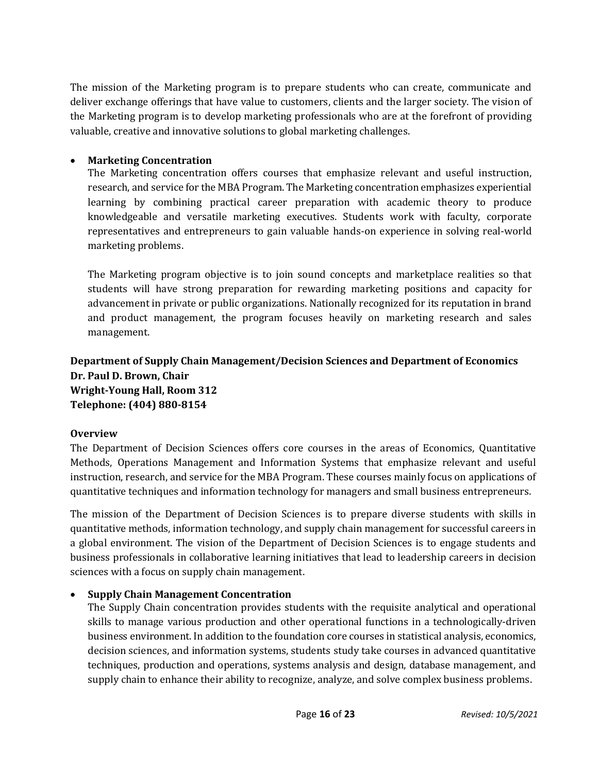The mission of the Marketing program is to prepare students who can create, communicate and deliver exchange offerings that have value to customers, clients and the larger society. The vision of the Marketing program is to develop marketing professionals who are at the forefront of providing valuable, creative and innovative solutions to global marketing challenges.

# • **Marketing Concentration**

The Marketing concentration offers courses that emphasize relevant and useful instruction, research, and service for the MBA Program. The Marketing concentration emphasizes experiential learning by combining practical career preparation with academic theory to produce knowledgeable and versatile marketing executives. Students work with faculty, corporate representatives and entrepreneurs to gain valuable hands-on experience in solving real-world marketing problems.

The Marketing program objective is to join sound concepts and marketplace realities so that students will have strong preparation for rewarding marketing positions and capacity for advancement in private or public organizations. Nationally recognized for its reputation in brand and product management, the program focuses heavily on marketing research and sales management.

**Department of Supply Chain Management/Decision Sciences and Department of Economics Dr. Paul D. Brown, Chair Wright-Young Hall, Room 312 Telephone: (404) 880-8154**

# **Overview**

The Department of Decision Sciences offers core courses in the areas of Economics, Quantitative Methods, Operations Management and Information Systems that emphasize relevant and useful instruction, research, and service for the MBA Program. These courses mainly focus on applications of quantitative techniques and information technology for managers and small business entrepreneurs.

The mission of the Department of Decision Sciences is to prepare diverse students with skills in quantitative methods, information technology, and supply chain management for successful careers in a global environment. The vision of the Department of Decision Sciences is to engage students and business professionals in collaborative learning initiatives that lead to leadership careers in decision sciences with a focus on supply chain management.

# • **Supply Chain Management Concentration**

The Supply Chain concentration provides students with the requisite analytical and operational skills to manage various production and other operational functions in a technologically-driven business environment. In addition to the foundation core courses in statistical analysis, economics, decision sciences, and information systems, students study take courses in advanced quantitative techniques, production and operations, systems analysis and design, database management, and supply chain to enhance their ability to recognize, analyze, and solve complex business problems.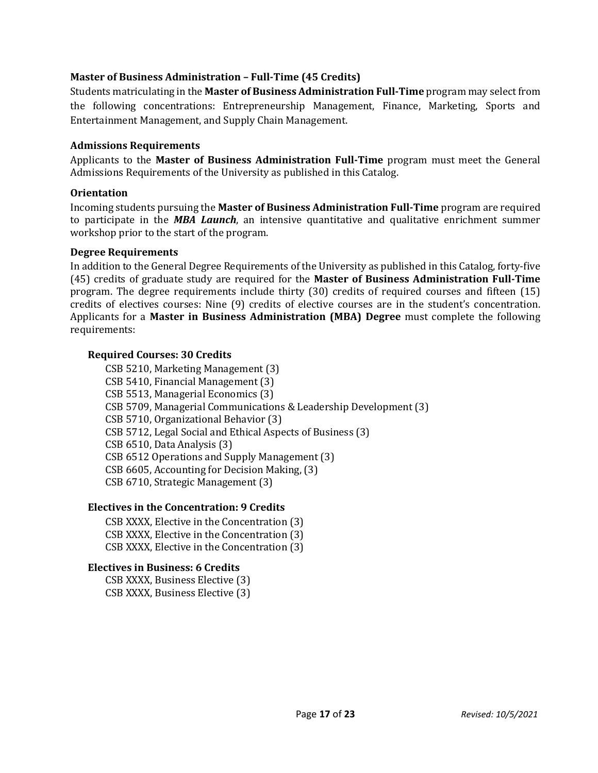# **Master of Business Administration – Full-Time (45 Credits)**

Students matriculating in the **Master of Business Administration Full-Time** program may select from the following concentrations: Entrepreneurship Management, Finance, Marketing, Sports and Entertainment Management, and Supply Chain Management.

#### **Admissions Requirements**

Applicants to the **Master of Business Administration Full-Time** program must meet the General Admissions Requirements of the University as published in this Catalog.

#### **Orientation**

Incoming students pursuing the **Master of Business Administration Full-Time** program are required to participate in the *MBA Launch*, an intensive quantitative and qualitative enrichment summer workshop prior to the start of the program.

#### **Degree Requirements**

In addition to the General Degree Requirements of the University as published in this Catalog, forty-five (45) credits of graduate study are required for the **Master of Business Administration Full-Time** program. The degree requirements include thirty (30) credits of required courses and fifteen (15) credits of electives courses: Nine (9) credits of elective courses are in the student's concentration. Applicants for a **Master in Business Administration (MBA) Degree** must complete the following requirements:

# **Required Courses: 30 Credits**

CSB 5210, Marketing Management (3) CSB 5410, Financial Management (3) CSB 5513, Managerial Economics (3) CSB 5709, Managerial Communications & Leadership Development (3) CSB 5710, Organizational Behavior (3) CSB 5712, Legal Social and Ethical Aspects of Business (3) CSB 6510, Data Analysis (3) CSB 6512 Operations and Supply Management (3) CSB 6605, Accounting for Decision Making, (3) CSB 6710, Strategic Management (3)

# **Electives in the Concentration: 9 Credits**

CSB XXXX, Elective in the Concentration (3) CSB XXXX, Elective in the Concentration (3) CSB XXXX, Elective in the Concentration (3)

# **Electives in Business: 6 Credits**

CSB XXXX, Business Elective (3) CSB XXXX, Business Elective (3)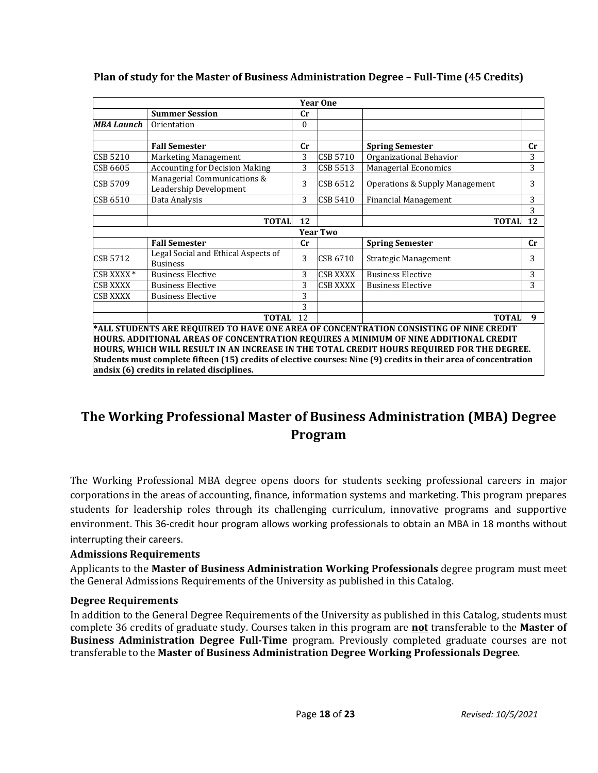|                       |                                                        |                  | <b>Year One</b> |                                                                                                                                                                                                                                                                                                                                                                                                   |              |
|-----------------------|--------------------------------------------------------|------------------|-----------------|---------------------------------------------------------------------------------------------------------------------------------------------------------------------------------------------------------------------------------------------------------------------------------------------------------------------------------------------------------------------------------------------------|--------------|
|                       | <b>Summer Session</b>                                  | cr               |                 |                                                                                                                                                                                                                                                                                                                                                                                                   |              |
| MBA Launch            | Orientation                                            | $\boldsymbol{0}$ |                 |                                                                                                                                                                                                                                                                                                                                                                                                   |              |
|                       |                                                        |                  |                 |                                                                                                                                                                                                                                                                                                                                                                                                   |              |
|                       | <b>Fall Semester</b>                                   | cr               |                 | <b>Spring Semester</b>                                                                                                                                                                                                                                                                                                                                                                            | cr           |
| <b>CSB 5210</b>       | Marketing Management                                   | 3                | CSB 5710        | Organizational Behavior                                                                                                                                                                                                                                                                                                                                                                           | 3            |
| CSB 6605              | <b>Accounting for Decision Making</b>                  | 3                | CSB 5513        | <b>Managerial Economics</b>                                                                                                                                                                                                                                                                                                                                                                       | 3            |
| CSB 5709              | Managerial Communications &<br>Leadership Development  | 3                | CSB 6512        | Operations & Supply Management                                                                                                                                                                                                                                                                                                                                                                    | 3            |
| <b>CSB 6510</b>       | Data Analysis                                          | 3                | <b>CSB 5410</b> | <b>Financial Management</b>                                                                                                                                                                                                                                                                                                                                                                       | 3            |
|                       |                                                        |                  |                 |                                                                                                                                                                                                                                                                                                                                                                                                   | 3            |
|                       | <b>TOTAL</b>                                           | 12               |                 | <b>TOTAL</b>                                                                                                                                                                                                                                                                                                                                                                                      | 12           |
|                       |                                                        |                  | <b>Year Two</b> |                                                                                                                                                                                                                                                                                                                                                                                                   |              |
|                       | <b>Fall Semester</b>                                   | cr               |                 | <b>Spring Semester</b>                                                                                                                                                                                                                                                                                                                                                                            | cr           |
| <b>CSB 5712</b>       | Legal Social and Ethical Aspects of<br><b>Business</b> | 3                | CSB 6710        | Strategic Management                                                                                                                                                                                                                                                                                                                                                                              | 3            |
| CSB XXXX <sup>*</sup> | <b>Business Elective</b>                               | 3                | <b>CSB XXXX</b> | <b>Business Elective</b>                                                                                                                                                                                                                                                                                                                                                                          | 3            |
| <b>CSB XXXX</b>       | <b>Business Elective</b>                               | 3                | <b>CSB XXXX</b> | <b>Business Elective</b>                                                                                                                                                                                                                                                                                                                                                                          | 3            |
| <b>CSB XXXX</b>       | <b>Business Elective</b>                               | 3                |                 |                                                                                                                                                                                                                                                                                                                                                                                                   |              |
|                       |                                                        | 3                |                 |                                                                                                                                                                                                                                                                                                                                                                                                   |              |
|                       | <b>TOTAL</b>                                           | 12               |                 | <b>TOTAL</b>                                                                                                                                                                                                                                                                                                                                                                                      | $\mathbf{q}$ |
|                       | andsix (6) credits in related disciplines.             |                  |                 | *ALL STUDENTS ARE REQUIRED TO HAVE ONE AREA OF CONCENTRATION CONSISTING OF NINE CREDIT<br>HOURS. ADDITIONAL AREAS OF CONCENTRATION REQUIRES A MINIMUM OF NINE ADDITIONAL CREDIT<br>HOURS, WHICH WILL RESULT IN AN INCREASE IN THE TOTAL CREDIT HOURS REQUIRED FOR THE DEGREE.<br>Students must complete fifteen (15) credits of elective courses: Nine (9) credits in their area of concentration |              |

# **Plan of study for the Master of Business Administration Degree – Full-Time (45 Credits)**

# **The Working Professional Master of Business Administration (MBA) Degree Program**

The Working Professional MBA degree opens doors for students seeking professional careers in major corporations in the areas of accounting, finance, information systems and marketing. This program prepares students for leadership roles through its challenging curriculum, innovative programs and supportive environment. This 36-credit hour program allows working professionals to obtain an MBA in 18 months without interrupting their careers.

# **Admissions Requirements**

Applicants to the **Master of Business Administration Working Professionals** degree program must meet the General Admissions Requirements of the University as published in this Catalog.

#### **Degree Requirements**

In addition to the General Degree Requirements of the University as published in this Catalog, students must complete 36 credits of graduate study. Courses taken in this program are **not** transferable to the **Master of Business Administration Degree Full-Time** program. Previously completed graduate courses are not transferable to the **Master of Business Administration Degree Working Professionals Degree**.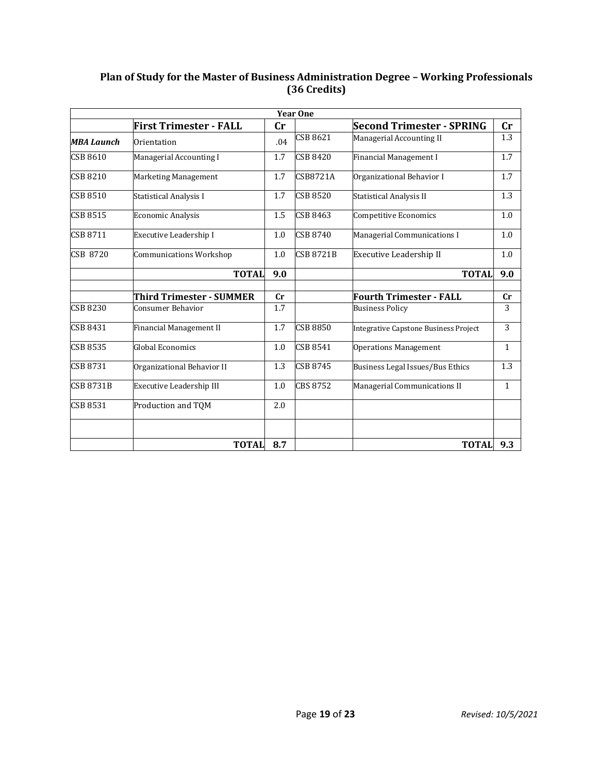# **Plan of Study for the Master of Business Administration Degree – Working Professionals (36 Credits)**

| <b>Year One</b>   |                                |     |                  |                                       |              |  |  |  |
|-------------------|--------------------------------|-----|------------------|---------------------------------------|--------------|--|--|--|
|                   | <b>First Trimester - FALL</b>  | Cr  |                  | <b>Second Trimester - SPRING</b>      | Cr           |  |  |  |
| <b>MBA Launch</b> | Orientation                    | .04 | <b>CSB 8621</b>  | Managerial Accounting II              | 1.3          |  |  |  |
| CSB 8610          | Managerial Accounting I        | 1.7 | <b>CSB 8420</b>  | Financial Management I                | 1.7          |  |  |  |
| <b>CSB 8210</b>   | Marketing Management           | 1.7 | <b>CSB8721A</b>  | Organizational Behavior I             | 1.7          |  |  |  |
| <b>CSB 8510</b>   | Statistical Analysis I         | 1.7 | <b>CSB 8520</b>  | <b>Statistical Analysis II</b>        | 1.3          |  |  |  |
| <b>CSB 8515</b>   | <b>Economic Analysis</b>       | 1.5 | <b>CSB 8463</b>  | Competitive Economics                 | 1.0          |  |  |  |
| CSB 8711          | Executive Leadership I         | 1.0 | <b>CSB 8740</b>  | Managerial Communications I           | 1.0          |  |  |  |
| <b>CSB 8720</b>   | <b>Communications Workshop</b> | 1.0 | <b>CSB 8721B</b> | Executive Leadership II               | 1.0          |  |  |  |
|                   | <b>TOTAL</b>                   | 9.0 |                  | <b>TOTAL</b>                          | 9.0          |  |  |  |
|                   |                                |     |                  |                                       |              |  |  |  |
|                   | Third Trimester - SUMMER       | cr  |                  | <b>Fourth Trimester - FALL</b>        | cr           |  |  |  |
| CSB 8230          | Consumer Behavior              | 1.7 |                  | <b>Business Policy</b>                | 3            |  |  |  |
| CSB 8431          | Financial Management II        | 1.7 | <b>CSB 8850</b>  | Integrative Capstone Business Project | 3            |  |  |  |
| CSB 8535          | Global Economics               | 1.0 | CSB 8541         | <b>Operations Management</b>          | $\mathbf{1}$ |  |  |  |
| <b>CSB 8731</b>   | Organizational Behavior II     | 1.3 | <b>CSB 8745</b>  | Business Legal Issues/Bus Ethics      | 1.3          |  |  |  |
| <b>CSB 8731B</b>  | Executive Leadership III       | 1.0 | <b>CBS 8752</b>  | Managerial Communications II          | $\mathbf{1}$ |  |  |  |
| <b>CSB 8531</b>   | Production and TOM             | 2.0 |                  |                                       |              |  |  |  |
|                   |                                |     |                  |                                       |              |  |  |  |
|                   | <b>TOTAL</b>                   | 8.7 |                  | <b>TOTAL</b>                          | 9.3          |  |  |  |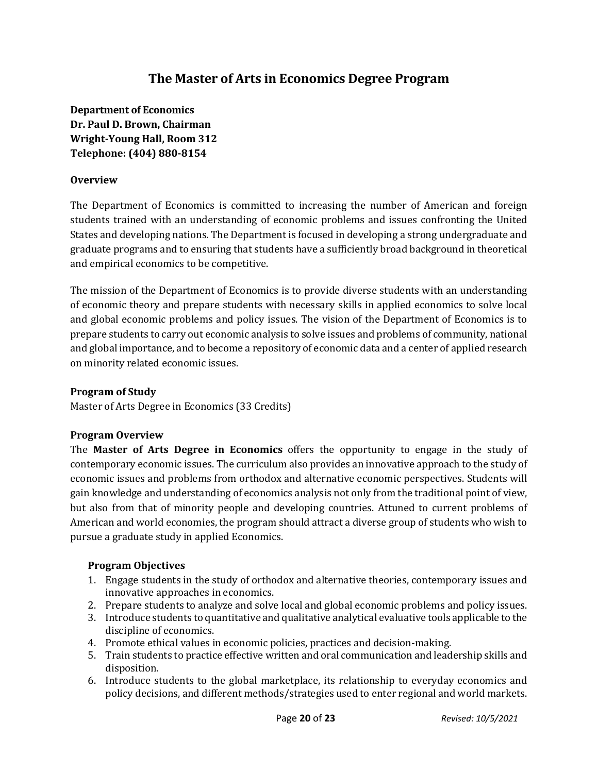# **The Master of Arts in Economics Degree Program**

**Department of Economics Dr. Paul D. Brown, Chairman Wright-Young Hall, Room 312 Telephone: (404) 880-8154**

# **Overview**

The Department of Economics is committed to increasing the number of American and foreign students trained with an understanding of economic problems and issues confronting the United States and developing nations. The Department is focused in developing a strong undergraduate and graduate programs and to ensuring that students have a sufficiently broad background in theoretical and empirical economics to be competitive.

The mission of the Department of Economics is to provide diverse students with an understanding of economic theory and prepare students with necessary skills in applied economics to solve local and global economic problems and policy issues. The vision of the Department of Economics is to prepare students to carry out economic analysis to solve issues and problems of community, national and global importance, and to become a repository of economic data and a center of applied research on minority related economic issues.

#### **Program of Study**

Master of Arts Degree in Economics (33 Credits)

#### **Program Overview**

The **Master of Arts Degree in Economics** offers the opportunity to engage in the study of contemporary economic issues. The curriculum also provides an innovative approach to the study of economic issues and problems from orthodox and alternative economic perspectives. Students will gain knowledge and understanding of economics analysis not only from the traditional point of view, but also from that of minority people and developing countries. Attuned to current problems of American and world economies, the program should attract a diverse group of students who wish to pursue a graduate study in applied Economics.

# **Program Objectives**

- 1. Engage students in the study of orthodox and alternative theories, contemporary issues and innovative approaches in economics.
- 2. Prepare students to analyze and solve local and global economic problems and policy issues.
- 3. Introduce students to quantitative and qualitative analytical evaluative tools applicable to the discipline of economics.
- 4. Promote ethical values in economic policies, practices and decision-making.
- 5. Train students to practice effective written and oral communication and leadership skills and disposition.
- 6. Introduce students to the global marketplace, its relationship to everyday economics and policy decisions, and different methods/strategies used to enter regional and world markets.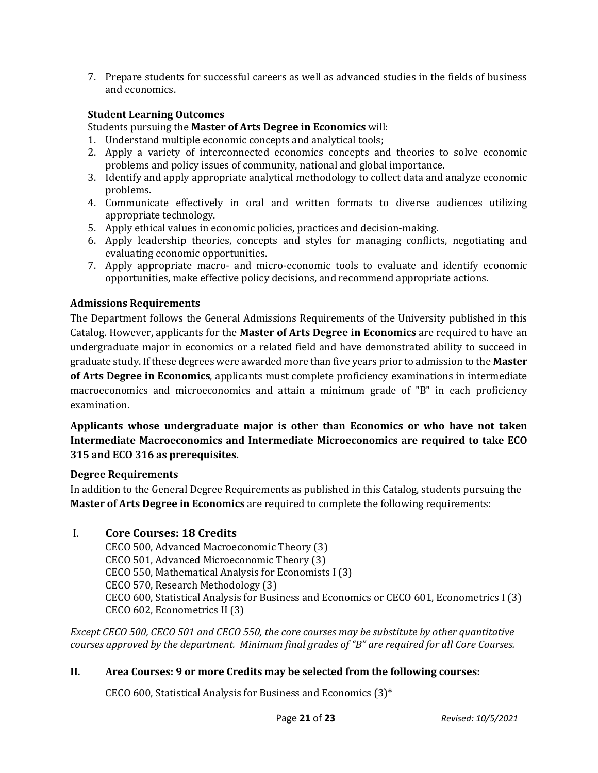7. Prepare students for successful careers as well as advanced studies in the fields of business and economics.

# **Student Learning Outcomes**

Students pursuing the **Master of Arts Degree in Economics** will:

- 1. Understand multiple economic concepts and analytical tools;
- 2. Apply a variety of interconnected economics concepts and theories to solve economic problems and policy issues of community, national and global importance.
- 3. Identify and apply appropriate analytical methodology to collect data and analyze economic problems.
- 4. Communicate effectively in oral and written formats to diverse audiences utilizing appropriate technology.
- 5. Apply ethical values in economic policies, practices and decision-making.
- 6. Apply leadership theories, concepts and styles for managing conflicts, negotiating and evaluating economic opportunities.
- 7. Apply appropriate macro- and micro-economic tools to evaluate and identify economic opportunities, make effective policy decisions, and recommend appropriate actions.

# **Admissions Requirements**

The Department follows the General Admissions Requirements of the University published in this Catalog. However, applicants for the **Master of Arts Degree in Economics** are required to have an undergraduate major in economics or a related field and have demonstrated ability to succeed in graduate study. If these degrees were awarded more than five years prior to admission to the **Master of Arts Degree in Economics**, applicants must complete proficiency examinations in intermediate macroeconomics and microeconomics and attain a minimum grade of "B" in each proficiency examination.

# **Applicants whose undergraduate major is other than Economics or who have not taken Intermediate Macroeconomics and Intermediate Microeconomics are required to take ECO 315 and ECO 316 as prerequisites.**

# **Degree Requirements**

In addition to the General Degree Requirements as published in this Catalog, students pursuing the **Master of Arts Degree in Economics** are required to complete the following requirements:

# I. **Core Courses: 18 Credits**

CECO 500, Advanced Macroeconomic Theory (3) CECO 501, Advanced Microeconomic Theory (3) CECO 550, Mathematical Analysis for Economists I (3) CECO 570, Research Methodology (3) CECO 600, Statistical Analysis for Business and Economics or CECO 601, Econometrics I (3) CECO 602, Econometrics II (3)

*Except CECO 500, CECO 501 and CECO 550, the core courses may be substitute by other quantitative courses approved by the department. Minimum final grades of "B" are required for all Core Courses.*

# **II. Area Courses: 9 or more Credits may be selected from the following courses:**

CECO 600, Statistical Analysis for Business and Economics (3)\*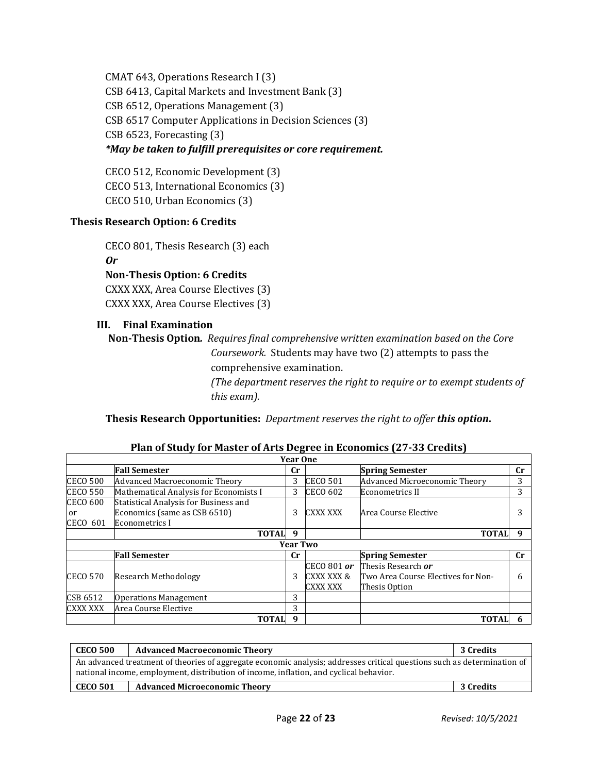CMAT 643, Operations Research I (3) CSB 6413, Capital Markets and Investment Bank (3) CSB 6512, Operations Management (3) CSB 6517 Computer Applications in Decision Sciences (3) CSB 6523, Forecasting (3) *\*May be taken to fulfill prerequisites or core requirement.*

CECO 512, Economic Development (3) CECO 513, International Economics (3) CECO 510, Urban Economics (3)

# **Thesis Research Option: 6 Credits**

CECO 801, Thesis Research (3) each *Or* **Non-Thesis Option: 6 Credits** CXXX XXX, Area Course Electives (3) CXXX XXX, Area Course Electives (3)

#### **III. Final Examination**

**Non-Thesis Option***. Requires final comprehensive written examination based on the Core Coursework.* Students may have two (2) attempts to pass the comprehensive examination. *(The department reserves the right to require or to exempt students of this exam).*

**Thesis Research Opportunities:** *Department reserves the right to offer this option***.**

| <b>Year One</b>                   |                                                                                         |                 |                                              |                                                                           |    |  |
|-----------------------------------|-----------------------------------------------------------------------------------------|-----------------|----------------------------------------------|---------------------------------------------------------------------------|----|--|
|                                   | <b>Fall Semester</b>                                                                    | cr              |                                              | <b>Spring Semester</b>                                                    | cr |  |
| <b>CECO 500</b>                   | Advanced Macroeconomic Theory                                                           | 3               | <b>CECO 501</b>                              | Advanced Microeconomic Theory                                             | 3  |  |
| <b>CECO 550</b>                   | Mathematical Analysis for Economists I                                                  | 3               | <b>CECO 602</b>                              | Econometrics II                                                           | 3  |  |
| <b>CECO 600</b><br>or<br>CECO 601 | Statistical Analysis for Business and<br>Economics (same as CSB 6510)<br>Econometrics I | 3               | CXXX XXX                                     | Area Course Elective                                                      |    |  |
|                                   | <b>TOTAL</b>                                                                            | $\mathbf{q}$    |                                              | <b>TOTAL</b>                                                              | q  |  |
|                                   |                                                                                         | <b>Year Two</b> |                                              |                                                                           |    |  |
|                                   | <b>Fall Semester</b>                                                                    | cr              |                                              | <b>Spring Semester</b>                                                    | cr |  |
| <b>CECO 570</b>                   | <b>Research Methodology</b>                                                             | 3               | CECO 801 or<br>CXXX XXX &<br><b>CXXX XXX</b> | Thesis Research or<br>Two Area Course Electives for Non-<br>Thesis Option | 6  |  |
| CSB 6512                          | <b>Operations Management</b>                                                            | 3               |                                              |                                                                           |    |  |
| CXXX XXX                          | Area Course Elective                                                                    | 3               |                                              |                                                                           |    |  |
|                                   | <b>TOTAL</b>                                                                            | q               |                                              | <b>TOTAL</b>                                                              | h  |  |

#### **Plan of Study for Master of Arts Degree in Economics (27-33 Credits)**

| <b>CECO 500</b> | <b>Advanced Macroeconomic Theory</b>                                                                                                                                                                              | 3 Credits |  |
|-----------------|-------------------------------------------------------------------------------------------------------------------------------------------------------------------------------------------------------------------|-----------|--|
|                 | An advanced treatment of theories of aggregate economic analysis; addresses critical questions such as determination of<br>national income, employment, distribution of income, inflation, and cyclical behavior. |           |  |
| <b>CECO 501</b> | <b>Advanced Microeconomic Theory</b>                                                                                                                                                                              | 3 Credits |  |